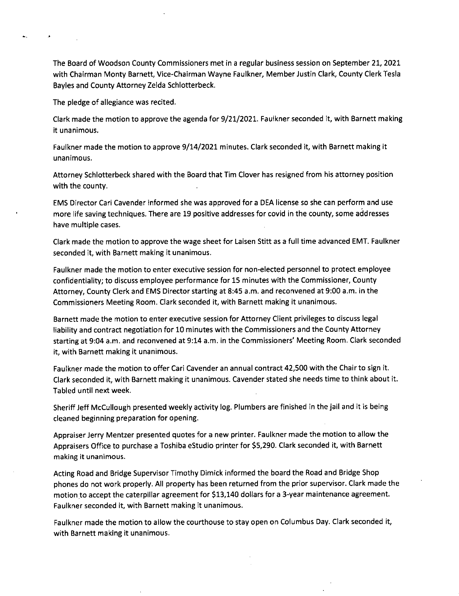The Board of Woodson County Commissioners met in a regular business session on September 21, 2021 with Chairman Monty Barnett, Vice-Chairman Wayne Faulkner, Member Justin Clark, County Clerk Tesla Bayles and County Attorney Zelda Schlotterbeck.

The pledge of allegiance was recited.

Clark made the motion to approve the agenda for 9/21/2021. Faulkner seconded it, with Barnett making it unanimous.

Faulkner made the motion to approve 9/14/2021 minutes. Clark seconded it, with Barnett making it unanimous.

Attorney Schlotterbeck shared with the Board that Tim Clover has resigned from his attorney position with the county.

EMS Director Cari Cavender informed she was approved for a DEA license so she can perform and use more life saving techniques. There are 19 positive addresses for covid in the county, some addresses have multiple cases.

Clark made the motion to approve the wage sheet for Laisen Stitt as a full time advanced EMT. Faulkner seconded it, with Barnett making it unanimous.

Faulkner made the motion to enter executive session for non-elected personnel to protect employee confidentiality; to discuss employee performance for 15 minutes with the Commissioner, County Attorney, County Clerk and EMS Director starting at 8:45 a.m. and reconvened at 9:00 a.m. in the Commissioners Meeting Room. Clark seconded it, with Barnett making it unanimous.

Barnett made the motion to enter executive session for Attorney Client privileges to discuss legal liability and contract negotiation for 10 minutes with the Commissioners and the County Attorney starting at 9:04 a.m. and reconvened at 9:14 a.m. in the Commissioners' Meeting Room. Clark seconded it, with Barnett making it unanimous.

Faulkner made the motion to offer Cari Cavender an annual contract 42,500 with the Chair to sign it. Clark seconded it, with Barnett making it unanimous. Cavender stated she needs time to think about it. Tabled until next week.

Sheriff Jeff McCullough presented weekly activity log. Plumbers are finished in the jail and it is being cleaned beginning preparation for opening.

Appraiser Jerry Mentzer presented quotes for a new printer. Faulkner made the motion to allow the Appraisers Office to purchase a Toshiba eStudio printer for \$5,290. Clark seconded it, with Barnett making it unanimous.

Acting Road and Bridge Supervisor Timothy Dimick informed the board the Road and Bridge Shop phones do not work properly. All property has been returned from the prior supervisor. Clark made the motion to accept the caterpillar agreement for \$13,140 dollars for a 3-year maintenance agreement. Faulkner seconded it, with Barnett making it unanimous.

Faulkner made the motion to allow the courthouse to stay open on Columbus Day. Clark seconded it, with Barnett making it unanimous.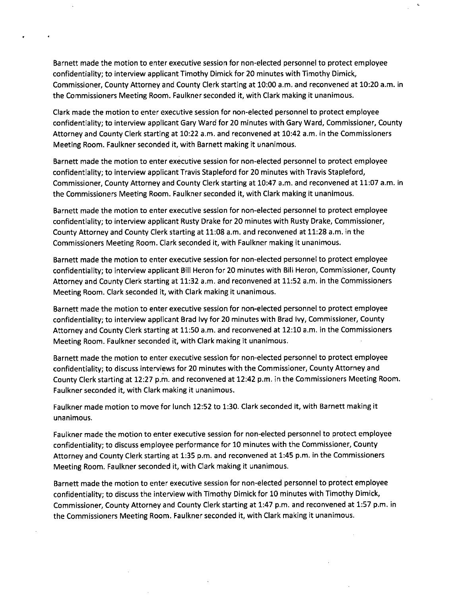Barnett made the motion to enter executive session for non-elected personnel to protect employee confidentiality; to interview applicant Timothy Dimick for 20 minutes with Timothy Dimick, Commissioner, County Attorney and County Clerk starting at 10:00 a.m. and reconvened at 10:20 a.m. in the Commissioners Meeting Room. Faulkner seconded it, with Clark making it unanimous.

Clark made the motion to enter executive session for non-elected personnel to protect employee confidentiality; to interview applicant Gary Ward for 20 minutes with Gary Ward, Commissioner, County Attorney and County Clerk starting at 10:22 a.m, and reconvened at 10:42 a.m. in the Commissioners Meeting Room. Faulkner seconded it, with Barnett making it unanimous.

Barnett made the motion to enter executive session for non-elected personnel to protect employee confidentiality; to interview applicant Travis Stapleford for 20 minutes with Travis Stapleford, Commissioner, County Attorney and County Clerk starting at 10:47 a.m. and reconvened at 11:07 a.m. in the Commissioners Meeting Room. Faulkner seconded it, with Clark making it unanimous.

Barnett made the motion to enter executive session for non-elected personnel to protect employee confidentiality; to interview applicant Rusty Drake for 20 minutes with Rusty Drake, Commissioner, County Attorney and County Clerk starting at 11:08 a.m. and reconvened at 11:28 a.m. in the Commissioners Meeting Room. Clark seconded it, with Faulkner making it unanimous.

Barnett made the motion to enter executive session for non-elected personnel to protect employee confidentiality; to interview applicant Bill Heron for 20 minutes with Bill Heron, Commissioner, County Attorney and County Clerk starting at 11:32 a.m. and reconvened at 11:52 a.m. in the Commissioners Meeting Room. Clark seconded it, with Clark making it unanimous.

Barnett made the motion to enter executive session for non-elected personnel to protect employee confidentiality; to interview applicant Brad Ivy for 20 minutes with Brad Ivy, Commissioner, County Attorney and County Clerk starting at 11:50 a.m. and reconvened at 12:10 a.m. in the Commissioners Meeting Room. Faulkner seconded it, with Clark making it unanimous.

Barnett made the motion to enter executive session for non-elected personnel to protect employee confidentiality; to discuss interviews for 20 minutes with the Commissioner, County Attorney and County Clerk starting at 12:27 p.m. and reconvened at 12:42 p.m. in the Commissioners Meeting Room. Faulkner seconded it, with Clark making it unanimous.

Faulkner made motion to move for lunch 12:52 to 1:30. Clark seconded it, with Barnett making it unanimous.

Faulkner made the motion to enter executive session for non-elected personnel to protect employee confidentiality; to discuss employee performance for 10 minutes with the Commissioner, County Attorney and County Clerk starting at 1:35 p.m. and reconvened at 1:45 p.m. in the Commissioners Meeting Room. Faulkner seconded it, with Clark making it unanimous.

Barnett made the motion to enter executive session for non-elected personnel to protect employee confidentiality; to discuss the interview with Timothy Dimick for 10 minutes with Timothy Dimick, Commissioner, County Attorney and County Clerk starting at 1:47 p.m. and reconvened at 1:57 p.m. in the Commissioners Meeting Room. Faulkner seconded it, with Clark making it unanimous.